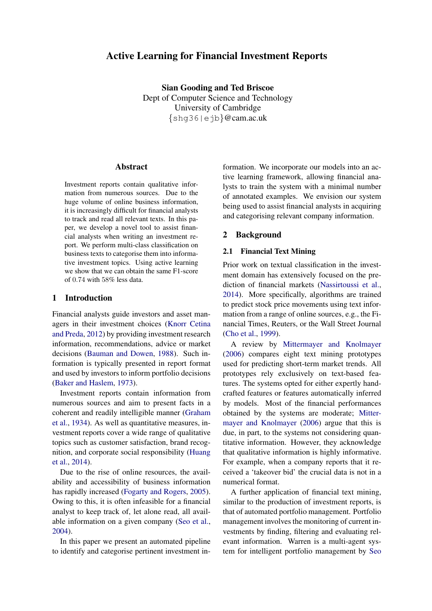## Active Learning for Financial Investment Reports

Sian Gooding and Ted Briscoe Dept of Computer Science and Technology University of Cambridge {shg36|ejb}@cam.ac.uk

## **Abstract**

Investment reports contain qualitative information from numerous sources. Due to the huge volume of online business information, it is increasingly difficult for financial analysts to track and read all relevant texts. In this paper, we develop a novel tool to assist financial analysts when writing an investment report. We perform multi-class classification on business texts to categorise them into informative investment topics. Using active learning we show that we can obtain the same F1-score of 0.74 with 58% less data.

## 1 Introduction

Financial analysts guide investors and asset managers in their investment choices [\(Knorr Cetina](#page-6-0) [and Preda,](#page-6-0) [2012\)](#page-6-0) by providing investment research information, recommendations, advice or market decisions [\(Bauman and Dowen,](#page-6-1) [1988\)](#page-6-1). Such information is typically presented in report format and used by investors to inform portfolio decisions [\(Baker and Haslem,](#page-6-2) [1973\)](#page-6-2).

Investment reports contain information from numerous sources and aim to present facts in a coherent and readily intelligible manner [\(Graham](#page-6-3) [et al.,](#page-6-3) [1934\)](#page-6-3). As well as quantitative measures, investment reports cover a wide range of qualitative topics such as customer satisfaction, brand recognition, and corporate social responsibility [\(Huang](#page-6-4) [et al.,](#page-6-4) [2014\)](#page-6-4).

Due to the rise of online resources, the availability and accessibility of business information has rapidly increased [\(Fogarty and Rogers,](#page-6-5) [2005\)](#page-6-5). Owing to this, it is often infeasible for a financial analyst to keep track of, let alone read, all available information on a given company [\(Seo et al.,](#page-6-6) [2004\)](#page-6-6).

In this paper we present an automated pipeline to identify and categorise pertinent investment in-

formation. We incorporate our models into an active learning framework, allowing financial analysts to train the system with a minimal number of annotated examples. We envision our system being used to assist financial analysts in acquiring and categorising relevant company information.

#### 2 Background

## 2.1 Financial Text Mining

Prior work on textual classification in the investment domain has extensively focused on the prediction of financial markets [\(Nassirtoussi et al.,](#page-6-7) [2014\)](#page-6-7). More specifically, algorithms are trained to predict stock price movements using text information from a range of online sources, e.g., the Financial Times, Reuters, or the Wall Street Journal [\(Cho et al.,](#page-6-8) [1999\)](#page-6-8).

A review by [Mittermayer and Knolmayer](#page-6-9) [\(2006\)](#page-6-9) compares eight text mining prototypes used for predicting short-term market trends. All prototypes rely exclusively on text-based features. The systems opted for either expertly handcrafted features or features automatically inferred by models. Most of the financial performances obtained by the systems are moderate; [Mitter](#page-6-9)[mayer and Knolmayer](#page-6-9) [\(2006\)](#page-6-9) argue that this is due, in part, to the systems not considering quantitative information. However, they acknowledge that qualitative information is highly informative. For example, when a company reports that it received a 'takeover bid' the crucial data is not in a numerical format.

A further application of financial text mining, similar to the production of investment reports, is that of automated portfolio management. Portfolio management involves the monitoring of current investments by finding, filtering and evaluating relevant information. Warren is a multi-agent system for intelligent portfolio management by [Seo](#page-6-6)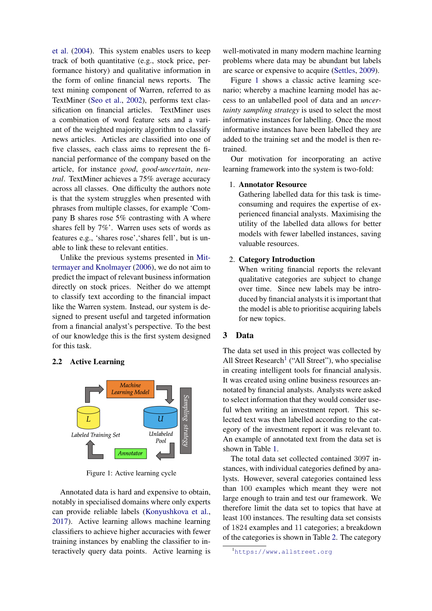[et al.](#page-6-6) [\(2004\)](#page-6-6). This system enables users to keep track of both quantitative (e.g., stock price, performance history) and qualitative information in the form of online financial news reports. The text mining component of Warren, referred to as TextMiner [\(Seo et al.,](#page-6-10) [2002\)](#page-6-10), performs text classification on financial articles. TextMiner uses a combination of word feature sets and a variant of the weighted majority algorithm to classify news articles. Articles are classified into one of five classes, each class aims to represent the financial performance of the company based on the article, for instance *good*, *good-uncertain*, *neutral*. TextMiner achieves a 75% average accuracy across all classes. One difficulty the authors note is that the system struggles when presented with phrases from multiple classes, for example 'Company B shares rose 5% contrasting with A where shares fell by 7%'. Warren uses sets of words as features e.g., 'shares rose','shares fell', but is unable to link these to relevant entities.

Unlike the previous systems presented in [Mit](#page-6-9)[termayer and Knolmayer](#page-6-9) [\(2006\)](#page-6-9), we do not aim to predict the impact of relevant business information directly on stock prices. Neither do we attempt to classify text according to the financial impact like the Warren system. Instead, our system is designed to present useful and targeted information from a financial analyst's perspective. To the best of our knowledge this is the first system designed for this task.

## 2.2 Active Learning

<span id="page-1-0"></span>

Figure 1: Active learning cycle

Annotated data is hard and expensive to obtain, notably in specialised domains where only experts can provide reliable labels [\(Konyushkova et al.,](#page-6-11) [2017\)](#page-6-11). Active learning allows machine learning classifiers to achieve higher accuracies with fewer training instances by enabling the classifier to interactively query data points. Active learning is well-motivated in many modern machine learning problems where data may be abundant but labels are scarce or expensive to acquire [\(Settles,](#page-6-12) [2009\)](#page-6-12).

Figure [1](#page-1-0) shows a classic active learning scenario; whereby a machine learning model has access to an unlabelled pool of data and an *uncertainty sampling strategy* is used to select the most informative instances for labelling. Once the most informative instances have been labelled they are added to the training set and the model is then retrained.

Our motivation for incorporating an active learning framework into the system is two-fold:

#### 1. Annotator Resource

Gathering labelled data for this task is timeconsuming and requires the expertise of experienced financial analysts. Maximising the utility of the labelled data allows for better models with fewer labelled instances, saving valuable resources.

## 2. Category Introduction

When writing financial reports the relevant qualitative categories are subject to change over time. Since new labels may be introduced by financial analysts it is important that the model is able to prioritise acquiring labels for new topics.

#### 3 Data

The data set used in this project was collected by All Street Research<sup>[1](#page-1-1)</sup> ("All Street"), who specialise in creating intelligent tools for financial analysis. It was created using online business resources annotated by financial analysts. Analysts were asked to select information that they would consider useful when writing an investment report. This selected text was then labelled according to the category of the investment report it was relevant to. An example of annotated text from the data set is shown in Table [1.](#page-2-0)

The total data set collected contained 3097 instances, with individual categories defined by analysts. However, several categories contained less than 100 examples which meant they were not large enough to train and test our framework. We therefore limit the data set to topics that have at least 100 instances. The resulting data set consists of 1824 examples and 11 categories; a breakdown of the categories is shown in Table [2.](#page-2-1) The category

<span id="page-1-1"></span><sup>1</sup><https://www.allstreet.org>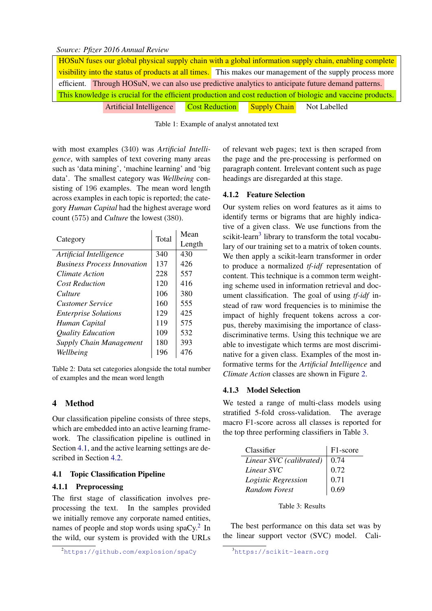#### <span id="page-2-0"></span>*Source: Pfizer 2016 Annual Review*

| HOSuN fuses our global physical supply chain with a global information supply chain, enabling complete      |                                                                                                      |                       |  |                     |              |  |  |  |  |  |
|-------------------------------------------------------------------------------------------------------------|------------------------------------------------------------------------------------------------------|-----------------------|--|---------------------|--------------|--|--|--|--|--|
| visibility into the status of products at all times. This makes our management of the supply process more   |                                                                                                      |                       |  |                     |              |  |  |  |  |  |
|                                                                                                             | efficient. Through HOSuN, we can also use predictive analytics to anticipate future demand patterns. |                       |  |                     |              |  |  |  |  |  |
| This knowledge is crucial for the efficient production and cost reduction of biologic and vaccine products. |                                                                                                      |                       |  |                     |              |  |  |  |  |  |
|                                                                                                             | Artificial Intelligence                                                                              | <b>Cost Reduction</b> |  | <b>Supply Chain</b> | Not Labelled |  |  |  |  |  |

Table 1: Example of analyst annotated text

with most examples (340) was *Artificial Intelligence*, with samples of text covering many areas such as 'data mining', 'machine learning' and 'big data'. The smallest category was *Wellbeing* consisting of 196 examples. The mean word length across examples in each topic is reported; the category *Human Capital* had the highest average word count (575) and *Culture* the lowest (380).

<span id="page-2-1"></span>

|                                    | Total | Mean   |  |  |
|------------------------------------|-------|--------|--|--|
| Category                           |       | Length |  |  |
| Artificial Intelligence            | 340   | 430    |  |  |
| <b>Business Process Innovation</b> | 137   | 426    |  |  |
| Climate Action                     | 228   | 557    |  |  |
| <b>Cost Reduction</b>              | 120   | 416    |  |  |
| Culture                            | 106   | 380    |  |  |
| <b>Customer Service</b>            | 160   | 555    |  |  |
| <b>Enterprise Solutions</b>        | 129   | 425    |  |  |
| Human Capital                      | 119   | 575    |  |  |
| <b>Quality Education</b>           | 109   | 532    |  |  |
| <b>Supply Chain Management</b>     | 180   | 393    |  |  |
| Wellbeing                          | 196   | 476    |  |  |

Table 2: Data set categories alongside the total number of examples and the mean word length

## 4 Method

Our classification pipeline consists of three steps, which are embedded into an active learning framework. The classification pipeline is outlined in Section [4.1,](#page-2-2) and the active learning settings are described in Section [4.2.](#page-3-0)

## <span id="page-2-2"></span>4.1 Topic Classification Pipeline

#### 4.1.1 Preprocessing

The first stage of classification involves preprocessing the text. In the samples provided we initially remove any corporate named entities, names of people and stop words using spaCy. $2$  In the wild, our system is provided with the URLs of relevant web pages; text is then scraped from the page and the pre-processing is performed on paragraph content. Irrelevant content such as page headings are disregarded at this stage.

## 4.1.2 Feature Selection

Our system relies on word features as it aims to identify terms or bigrams that are highly indicative of a given class. We use functions from the scikit-learn<sup>[3](#page-2-4)</sup> library to transform the total vocabulary of our training set to a matrix of token counts. We then apply a scikit-learn transformer in order to produce a normalized *tf-idf* representation of content. This technique is a common term weighting scheme used in information retrieval and document classification. The goal of using *tf-idf* instead of raw word frequencies is to minimise the impact of highly frequent tokens across a corpus, thereby maximising the importance of classdiscriminative terms. Using this technique we are able to investigate which terms are most discriminative for a given class. Examples of the most informative terms for the *Artificial Intelligence* and *Climate Action* classes are shown in Figure [2.](#page-3-1)

#### <span id="page-2-6"></span>4.1.3 Model Selection

We tested a range of multi-class models using stratified 5-fold cross-validation. The average macro F1-score across all classes is reported for the top three performing classifiers in Table [3.](#page-2-5)

<span id="page-2-5"></span>

| Classifier              | F1-score |
|-------------------------|----------|
| Linear SVC (calibrated) | 0.74     |
| Linear SVC              | 0.72     |
| Logistic Regression     | 0.71     |
| Random Forest           | 0.69     |

| Table 3: Results |  |  |  |  |
|------------------|--|--|--|--|
|------------------|--|--|--|--|

The best performance on this data set was by the linear support vector (SVC) model. Cali-

<span id="page-2-3"></span><sup>2</sup><https://github.com/explosion/spaCy>

<span id="page-2-4"></span><sup>3</sup><https://scikit-learn.org>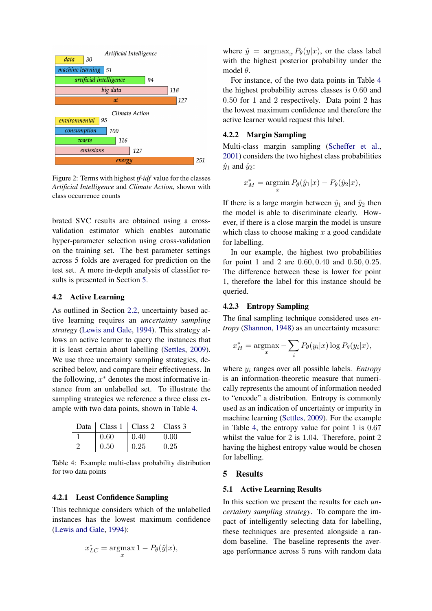<span id="page-3-1"></span>

Figure 2: Terms with highest *tf-idf* value for the classes *Artificial Intelligence* and *Climate Action*, shown with class occurrence counts

brated SVC results are obtained using a crossvalidation estimator which enables automatic hyper-parameter selection using cross-validation on the training set. The best parameter settings across 5 folds are averaged for prediction on the test set. A more in-depth analysis of classifier results is presented in Section [5.](#page-3-2)

## <span id="page-3-0"></span>4.2 Active Learning

As outlined in Section [2.2,](#page-2-0) uncertainty based active learning requires an *uncertainty sampling strategy* [\(Lewis and Gale,](#page-6-13) [1994\)](#page-6-13). This strategy allows an active learner to query the instances that it is least certain about labelling [\(Settles,](#page-6-12) [2009\)](#page-6-12). We use three uncertainty sampling strategies, described below, and compare their effectiveness. In the following,  $x^*$  denotes the most informative instance from an unlabelled set. To illustrate the sampling strategies we reference a three class example with two data points, shown in Table [4.](#page-3-3)

<span id="page-3-3"></span>

|               |      | Data   Class 1   Class 2   Class 3 |      |
|---------------|------|------------------------------------|------|
|               | 0.60 | 0.40                               | 0.00 |
| $\mathcal{L}$ | 0.50 | 0.25                               | 0.25 |

Table 4: Example multi-class probability distribution for two data points

## 4.2.1 Least Confidence Sampling

This technique considers which of the unlabelled instances has the lowest maximum confidence [\(Lewis and Gale,](#page-6-13) [1994\)](#page-6-13):

$$
x_{LC}^* = \operatorname*{argmax}_x 1 - P_{\theta}(\hat{y}|x),
$$

where  $\hat{y} = \argmax_x P_{\theta}(y|x)$ , or the class label with the highest posterior probability under the model  $\theta$ .

For instance, of the two data points in Table [4](#page-3-3) the highest probability across classes is 0.60 and 0.50 for 1 and 2 respectively. Data point 2 has the lowest maximum confidence and therefore the active learner would request this label.

## 4.2.2 Margin Sampling

Multi-class margin sampling [\(Scheffer et al.,](#page-6-14) [2001\)](#page-6-14) considers the two highest class probabilities  $\hat{y}_1$  and  $\hat{y}_2$ :

$$
x_M^* = \operatorname*{argmin}_x P_\theta(\hat{y}_1|x) - P_\theta(\hat{y}_2|x),
$$

If there is a large margin between  $\hat{y}_1$  and  $\hat{y}_2$  then the model is able to discriminate clearly. However, if there is a close margin the model is unsure which class to choose making  $x$  a good candidate for labelling.

In our example, the highest two probabilities for point 1 and 2 are 0.60, 0.40 and 0.50, 0.25. The difference between these is lower for point 1, therefore the label for this instance should be queried.

## 4.2.3 Entropy Sampling

The final sampling technique considered uses *entropy* [\(Shannon,](#page-6-15) [1948\)](#page-6-15) as an uncertainty measure:

$$
x_H^* = \operatorname*{argmax}_x - \sum_i P_\theta(y_i|x) \log P_\theta(y_i|x),
$$

where y<sup>i</sup> ranges over all possible labels. *Entropy* is an information-theoretic measure that numerically represents the amount of information needed to "encode" a distribution. Entropy is commonly used as an indication of uncertainty or impurity in machine learning [\(Settles,](#page-6-12) [2009\)](#page-6-12). For the example in Table [4,](#page-3-3) the entropy value for point 1 is 0.67 whilst the value for 2 is 1.04. Therefore, point 2 having the highest entropy value would be chosen for labelling.

## <span id="page-3-2"></span>5 Results

#### 5.1 Active Learning Results

In this section we present the results for each *uncertainty sampling strategy*. To compare the impact of intelligently selecting data for labelling, these techniques are presented alongside a random baseline. The baseline represents the average performance across 5 runs with random data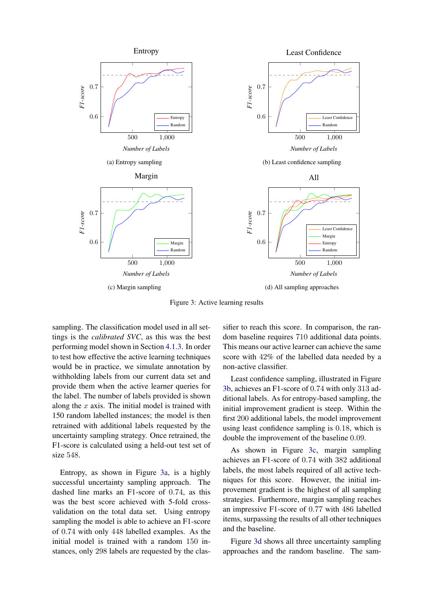<span id="page-4-0"></span>

Figure 3: Active learning results

sampling. The classification model used in all settings is the *calibrated SVC*, as this was the best performing model shown in Section [4.1.3.](#page-2-6) In order to test how effective the active learning techniques would be in practice, we simulate annotation by withholding labels from our current data set and provide them when the active learner queries for the label. The number of labels provided is shown along the  $x$  axis. The initial model is trained with 150 random labelled instances; the model is then retrained with additional labels requested by the uncertainty sampling strategy. Once retrained, the F1-score is calculated using a held-out test set of size 548.

Entropy, as shown in Figure [3a,](#page-4-0) is a highly successful uncertainty sampling approach. The dashed line marks an F1-score of 0.74, as this was the best score achieved with 5-fold crossvalidation on the total data set. Using entropy sampling the model is able to achieve an F1-score of 0.74 with only 448 labelled examples. As the initial model is trained with a random 150 instances, only 298 labels are requested by the classifier to reach this score. In comparison, the random baseline requires 710 additional data points. This means our active learner can achieve the same score with 42% of the labelled data needed by a non-active classifier.

Least confidence sampling, illustrated in Figure [3b,](#page-4-0) achieves an F1-score of 0.74 with only 313 additional labels. As for entropy-based sampling, the initial improvement gradient is steep. Within the first 200 additional labels, the model improvement using least confidence sampling is 0.18, which is double the improvement of the baseline 0.09.

As shown in Figure [3c,](#page-4-0) margin sampling achieves an F1-score of 0.74 with 382 additional labels, the most labels required of all active techniques for this score. However, the initial improvement gradient is the highest of all sampling strategies. Furthermore, margin sampling reaches an impressive F1-score of 0.77 with 486 labelled items, surpassing the results of all other techniques and the baseline.

Figure [3d](#page-4-0) shows all three uncertainty sampling approaches and the random baseline. The sam-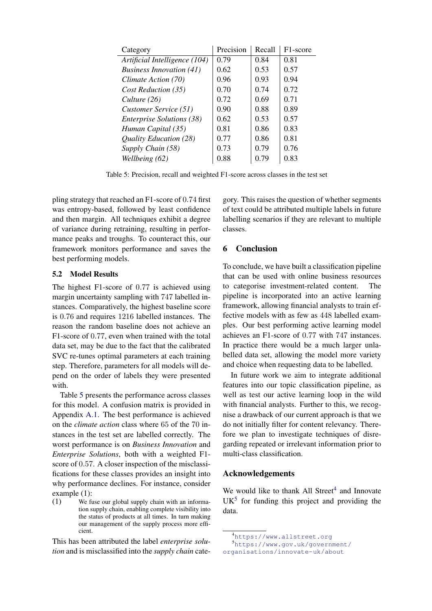<span id="page-5-0"></span>

| Category                         | Precision | Recall | F1-score |
|----------------------------------|-----------|--------|----------|
| Artificial Intelligence (104)    | 0.79      | 0.84   | 0.81     |
| <b>Business Innovation (41)</b>  | 0.62      | 0.53   | 0.57     |
| Climate Action (70)              | 0.96      | 0.93   | 0.94     |
| Cost Reduction (35)              | 0.70      | 0.74   | 0.72     |
| Culture (26)                     | 0.72      | 0.69   | 0.71     |
| Customer Service (51)            | 0.90      | 0.88   | 0.89     |
| <b>Enterprise Solutions (38)</b> | 0.62      | 0.53   | 0.57     |
| Human Capital (35)               | 0.81      | 0.86   | 0.83     |
| Quality Education (28)           | 0.77      | 0.86   | 0.81     |
| Supply Chain (58)                | 0.73      | 0.79   | 0.76     |
| Wellbeing (62)                   | 0.88      | 0.79   | 0.83     |

Table 5: Precision, recall and weighted F1-score across classes in the test set

pling strategy that reached an F1-score of 0.74 first was entropy-based, followed by least confidence and then margin. All techniques exhibit a degree of variance during retraining, resulting in performance peaks and troughs. To counteract this, our framework monitors performance and saves the best performing models.

## 5.2 Model Results

The highest F1-score of 0.77 is achieved using margin uncertainty sampling with 747 labelled instances. Comparatively, the highest baseline score is 0.76 and requires 1216 labelled instances. The reason the random baseline does not achieve an F1-score of 0.77, even when trained with the total data set, may be due to the fact that the calibrated SVC re-tunes optimal parameters at each training step. Therefore, parameters for all models will depend on the order of labels they were presented with.

Table [5](#page-5-0) presents the performance across classes for this model. A confusion matrix is provided in Appendix [A.1.](#page-7-0) The best performance is achieved on the *climate action* class where 65 of the 70 instances in the test set are labelled correctly. The worst performance is on *Business Innovation* and *Enterprise Solutions*, both with a weighted F1 score of 0.57. A closer inspection of the misclassifications for these classes provides an insight into why performance declines. For instance, consider example (1):

This has been attributed the label *enterprise solution* and is misclassified into the *supply chain* category. This raises the question of whether segments of text could be attributed multiple labels in future labelling scenarios if they are relevant to multiple classes.

## 6 Conclusion

To conclude, we have built a classification pipeline that can be used with online business resources to categorise investment-related content. The pipeline is incorporated into an active learning framework, allowing financial analysts to train effective models with as few as 448 labelled examples. Our best performing active learning model achieves an F1-score of 0.77 with 747 instances. In practice there would be a much larger unlabelled data set, allowing the model more variety and choice when requesting data to be labelled.

In future work we aim to integrate additional features into our topic classification pipeline, as well as test our active learning loop in the wild with financial analysts. Further to this, we recognise a drawback of our current approach is that we do not initially filter for content relevancy. Therefore we plan to investigate techniques of disregarding repeated or irrelevant information prior to multi-class classification.

## Acknowledgements

We would like to thank All Street $<sup>4</sup>$  $<sup>4</sup>$  $<sup>4</sup>$  and Innovate</sup>  $UK<sup>5</sup>$  $UK<sup>5</sup>$  $UK<sup>5</sup>$  for funding this project and providing the data.

<sup>(1)</sup> We fuse our global supply chain with an information supply chain, enabling complete visibility into the status of products at all times. In turn making our management of the supply process more efficient.

<span id="page-5-2"></span><span id="page-5-1"></span><sup>4</sup><https://www.allstreet.org>

<sup>5</sup>[https://www.gov.uk/government/](https://www.gov.uk/government/organisations/innovate-uk/about) [organisations/innovate-uk/about](https://www.gov.uk/government/organisations/innovate-uk/about)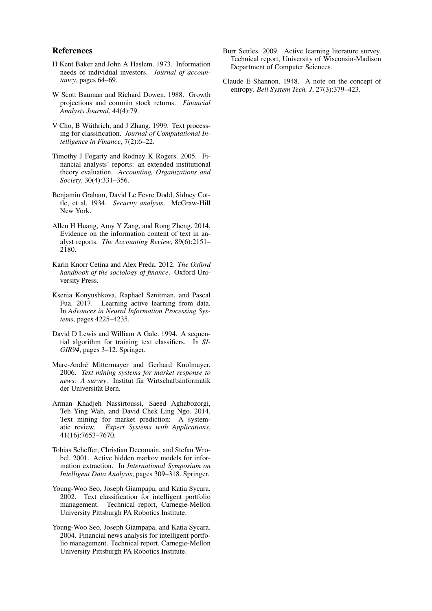#### References

- <span id="page-6-2"></span>H Kent Baker and John A Haslem. 1973. Information needs of individual investors. *Journal of accountancy*, pages 64–69.
- <span id="page-6-1"></span>W Scott Bauman and Richard Dowen. 1988. Growth projections and commin stock returns. *Financial Analysts Journal*, 44(4):79.
- <span id="page-6-8"></span>V Cho, B Wüthrich, and J Zhang. 1999. Text processing for classification. *Journal of Computational Intelligence in Finance*, 7(2):6–22.
- <span id="page-6-5"></span>Timothy J Fogarty and Rodney K Rogers. 2005. Financial analysts' reports: an extended institutional theory evaluation. *Accounting, Organizations and Society*, 30(4):331–356.
- <span id="page-6-3"></span>Benjamin Graham, David Le Fevre Dodd, Sidney Cottle, et al. 1934. *Security analysis*. McGraw-Hill New York.
- <span id="page-6-4"></span>Allen H Huang, Amy Y Zang, and Rong Zheng. 2014. Evidence on the information content of text in analyst reports. *The Accounting Review*, 89(6):2151– 2180.
- <span id="page-6-0"></span>Karin Knorr Cetina and Alex Preda. 2012. *The Oxford handbook of the sociology of finance*. Oxford University Press.
- <span id="page-6-11"></span>Ksenia Konyushkova, Raphael Sznitman, and Pascal Fua. 2017. Learning active learning from data. In *Advances in Neural Information Processing Systems*, pages 4225–4235.
- <span id="page-6-13"></span>David D Lewis and William A Gale. 1994. A sequential algorithm for training text classifiers. In *SI-GIR94*, pages 3–12. Springer.
- <span id="page-6-9"></span>Marc-André Mittermayer and Gerhard Knolmayer. 2006. *Text mining systems for market response to news: A survey*. Institut fur Wirtschaftsinformatik ¨ der Universität Bern.
- <span id="page-6-7"></span>Arman Khadjeh Nassirtoussi, Saeed Aghabozorgi, Teh Ying Wah, and David Chek Ling Ngo. 2014. Text mining for market prediction: A systematic review. *Expert Systems with Applications*, 41(16):7653–7670.
- <span id="page-6-14"></span>Tobias Scheffer, Christian Decomain, and Stefan Wrobel. 2001. Active hidden markov models for information extraction. In *International Symposium on Intelligent Data Analysis*, pages 309–318. Springer.
- <span id="page-6-10"></span>Young-Woo Seo, Joseph Giampapa, and Katia Sycara. 2002. Text classification for intelligent portfolio management. Technical report, Carnegie-Mellon University Pittsburgh PA Robotics Institute.
- <span id="page-6-6"></span>Young-Woo Seo, Joseph Giampapa, and Katia Sycara. 2004. Financial news analysis for intelligent portfolio management. Technical report, Carnegie-Mellon University Pittsburgh PA Robotics Institute.
- <span id="page-6-12"></span>Burr Settles. 2009. Active learning literature survey. Technical report, University of Wisconsin-Madison Department of Computer Sciences.
- <span id="page-6-15"></span>Claude E Shannon. 1948. A note on the concept of entropy. *Bell System Tech. J*, 27(3):379–423.